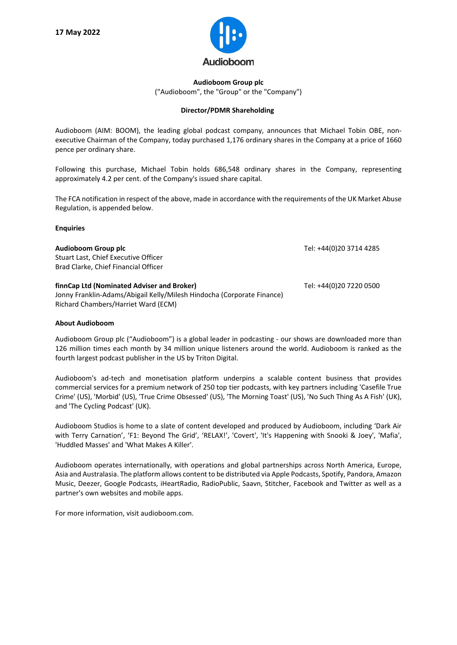

**Audioboom Group plc** ("Audioboom", the "Group" or the "Company")

## **Director/PDMR Shareholding**

Audioboom (AIM: BOOM), the leading global podcast company, announces that Michael Tobin OBE, nonexecutive Chairman of the Company, today purchased 1,176 ordinary shares in the Company at a price of 1660 pence per ordinary share.

Following this purchase, Michael Tobin holds 686,548 ordinary shares in the Company, representing approximately 4.2 per cent. of the Company's issued share capital.

The FCA notification in respect of the above, made in accordance with the requirements of the UK Market Abuse Regulation, is appended below.

## **Enquiries**

| Audioboom Group plc<br>Stuart Last, Chief Executive Officer<br>Brad Clarke, Chief Financial Officer                                                         | Tel: +44(0)20 3714 4285 |
|-------------------------------------------------------------------------------------------------------------------------------------------------------------|-------------------------|
| finnCap Ltd (Nominated Adviser and Broker)<br>Jonny Franklin-Adams/Abigail Kelly/Milesh Hindocha (Corporate Finance)<br>Richard Chambers/Harriet Ward (ECM) | Tel: +44(0)20 7220 0500 |

## **About Audioboom**

Audioboom Group plc ("Audioboom") is a global leader in podcasting - our shows are downloaded more than 126 million times each month by 34 million unique listeners around the world. Audioboom is ranked as the fourth largest podcast publisher in the US by Triton Digital.

Audioboom's ad-tech and monetisation platform underpins a scalable content business that provides commercial services for a premium network of 250 top tier podcasts, with key partners including 'Casefile True Crime' (US), 'Morbid' (US), 'True Crime Obsessed' (US), 'The Morning Toast' (US), 'No Such Thing As A Fish' (UK), and 'The Cycling Podcast' (UK).

Audioboom Studios is home to a slate of content developed and produced by Audioboom, including 'Dark Air with Terry Carnation', 'F1: Beyond The Grid', 'RELAX!', 'Covert', 'It's Happening with Snooki & Joey', 'Mafia', 'Huddled Masses' and 'What Makes A Killer'.

Audioboom operates internationally, with operations and global partnerships across North America, Europe, Asia and Australasia. The platform allows content to be distributed via Apple Podcasts, Spotify, Pandora, Amazon Music, Deezer, Google Podcasts, iHeartRadio, RadioPublic, Saavn, Stitcher, Facebook and Twitter as well as a partner's own websites and mobile apps.

For more information, visit audioboom.com.